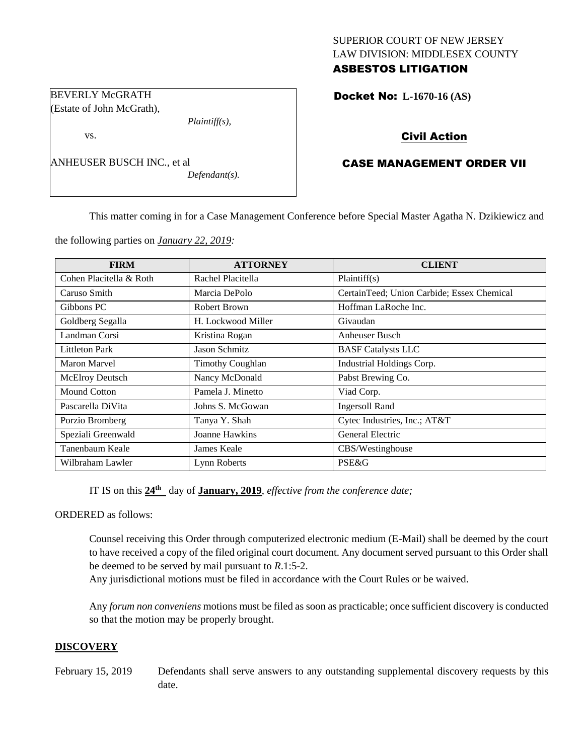## SUPERIOR COURT OF NEW JERSEY LAW DIVISION: MIDDLESEX COUNTY ASBESTOS LITIGATION

Docket No: **L-1670-16 (AS)** 

# Civil Action

# CASE MANAGEMENT ORDER VII

ANHEUSER BUSCH INC., et al

*Defendant(s).*

*Plaintiff(s),*

This matter coming in for a Case Management Conference before Special Master Agatha N. Dzikiewicz and

the following parties on *January 22, 2019:*

BEVERLY McGRATH (Estate of John McGrath),

vs.

| <b>FIRM</b>             | <b>ATTORNEY</b>         | <b>CLIENT</b>                              |
|-------------------------|-------------------------|--------------------------------------------|
| Cohen Placitella & Roth | Rachel Placitella       | Plaintiff(s)                               |
| Caruso Smith            | Marcia DePolo           | CertainTeed; Union Carbide; Essex Chemical |
| Gibbons PC              | <b>Robert Brown</b>     | Hoffman LaRoche Inc.                       |
| Goldberg Segalla        | H. Lockwood Miller      | Givaudan                                   |
| Landman Corsi           | Kristina Rogan          | <b>Anheuser Busch</b>                      |
| <b>Littleton Park</b>   | <b>Jason Schmitz</b>    | <b>BASF Catalysts LLC</b>                  |
| Maron Marvel            | <b>Timothy Coughlan</b> | Industrial Holdings Corp.                  |
| McElroy Deutsch         | Nancy McDonald          | Pabst Brewing Co.                          |
| Mound Cotton            | Pamela J. Minetto       | Viad Corp.                                 |
| Pascarella DiVita       | Johns S. McGowan        | <b>Ingersoll Rand</b>                      |
| Porzio Bromberg         | Tanya Y. Shah           | Cytec Industries, Inc.; AT&T               |
| Speziali Greenwald      | Joanne Hawkins          | <b>General Electric</b>                    |
| Tanenbaum Keale         | James Keale             | CBS/Westinghouse                           |
| Wilbraham Lawler        | Lynn Roberts            | <b>PSE&amp;G</b>                           |

IT IS on this **24th** day of **January, 2019**, *effective from the conference date;*

ORDERED as follows:

Counsel receiving this Order through computerized electronic medium (E-Mail) shall be deemed by the court to have received a copy of the filed original court document. Any document served pursuant to this Order shall be deemed to be served by mail pursuant to *R*.1:5-2.

Any jurisdictional motions must be filed in accordance with the Court Rules or be waived.

Any *forum non conveniens* motions must be filed as soon as practicable; once sufficient discovery is conducted so that the motion may be properly brought.

#### **DISCOVERY**

February 15, 2019 Defendants shall serve answers to any outstanding supplemental discovery requests by this date.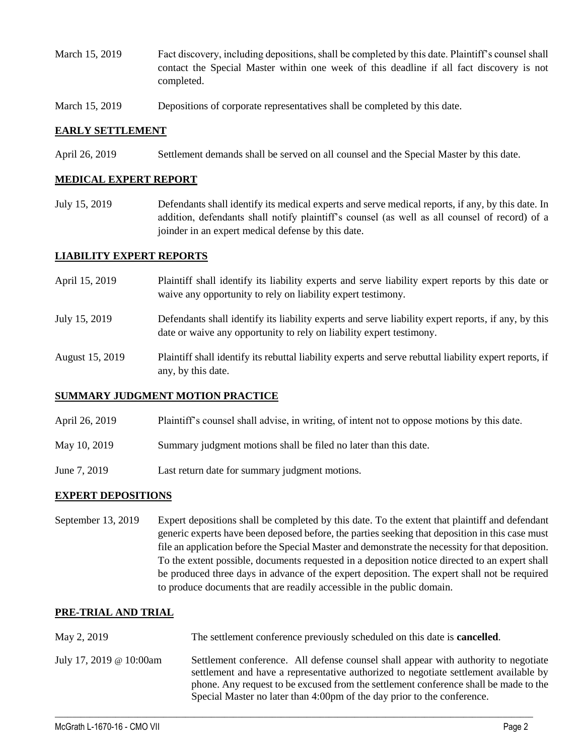- March 15, 2019 Fact discovery, including depositions, shall be completed by this date. Plaintiff's counsel shall contact the Special Master within one week of this deadline if all fact discovery is not completed.
- March 15, 2019 Depositions of corporate representatives shall be completed by this date.

### **EARLY SETTLEMENT**

April 26, 2019 Settlement demands shall be served on all counsel and the Special Master by this date.

### **MEDICAL EXPERT REPORT**

July 15, 2019 Defendants shall identify its medical experts and serve medical reports, if any, by this date. In addition, defendants shall notify plaintiff's counsel (as well as all counsel of record) of a joinder in an expert medical defense by this date.

### **LIABILITY EXPERT REPORTS**

- April 15, 2019 Plaintiff shall identify its liability experts and serve liability expert reports by this date or waive any opportunity to rely on liability expert testimony.
- July 15, 2019 Defendants shall identify its liability experts and serve liability expert reports, if any, by this date or waive any opportunity to rely on liability expert testimony.
- August 15, 2019 Plaintiff shall identify its rebuttal liability experts and serve rebuttal liability expert reports, if any, by this date.

## **SUMMARY JUDGMENT MOTION PRACTICE**

- April 26, 2019 Plaintiff's counsel shall advise, in writing, of intent not to oppose motions by this date.
- May 10, 2019 Summary judgment motions shall be filed no later than this date.
- June 7, 2019 Last return date for summary judgment motions.

## **EXPERT DEPOSITIONS**

September 13, 2019 Expert depositions shall be completed by this date. To the extent that plaintiff and defendant generic experts have been deposed before, the parties seeking that deposition in this case must file an application before the Special Master and demonstrate the necessity for that deposition. To the extent possible, documents requested in a deposition notice directed to an expert shall be produced three days in advance of the expert deposition. The expert shall not be required to produce documents that are readily accessible in the public domain.

#### **PRE-TRIAL AND TRIAL**

 $\_$  ,  $\_$  ,  $\_$  ,  $\_$  ,  $\_$  ,  $\_$  ,  $\_$  ,  $\_$  ,  $\_$  ,  $\_$  ,  $\_$  ,  $\_$  ,  $\_$  ,  $\_$  ,  $\_$  ,  $\_$  ,  $\_$  ,  $\_$  ,  $\_$  ,  $\_$  ,  $\_$  ,  $\_$  ,  $\_$  ,  $\_$  ,  $\_$  ,  $\_$  ,  $\_$  ,  $\_$  ,  $\_$  ,  $\_$  ,  $\_$  ,  $\_$  ,  $\_$  ,  $\_$  ,  $\_$  ,  $\_$  ,  $\_$  , May 2, 2019 The settlement conference previously scheduled on this date is **cancelled**. July 17, 2019 @ 10:00am Settlement conference. All defense counsel shall appear with authority to negotiate settlement and have a representative authorized to negotiate settlement available by phone. Any request to be excused from the settlement conference shall be made to the Special Master no later than 4:00pm of the day prior to the conference.